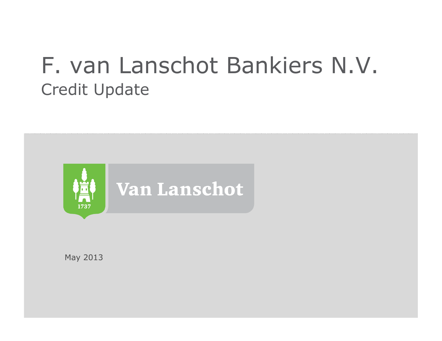# F. van Lanschot Bankiers N.V.Credit Update



May 2013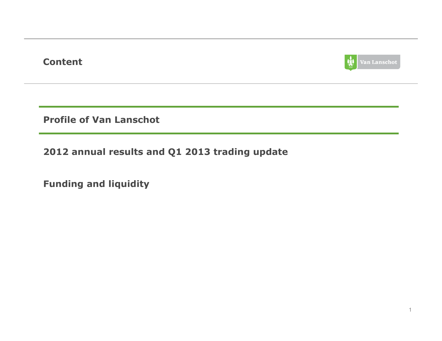### Content



Profile of Van Lanschot

2012 annual results and Q1 2013 trading update

Funding and liquidity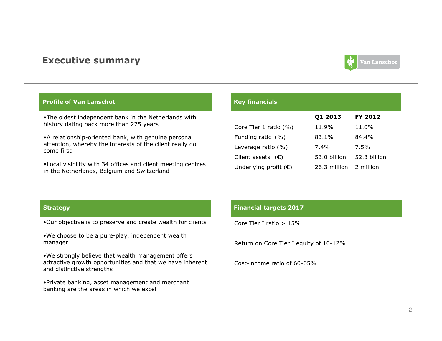#### Executive summary



#### Profile of Van Lanschot

•The oldest independent bank in the Netherlands with history dating back more than 275 years

attention, whereby the interests of the client really do •A relationship-oriented bank, with genuine personal come first

 $\mathcal{L}$  sets us apart sets us apart sets us apart sets us apart sets us apart sets us apart sets us apart sets us apart sets us apart sets us apart sets us apart sets us apart sets us apart sets us apart sets us apart se •Local visibility with 34 offices and client meeting centres in the Netherlands, Belgium and Switzerland

#### Key financials

|                                | Q1 2013      | FY 2012      |
|--------------------------------|--------------|--------------|
| Core Tier 1 ratio (%)          | 11.9%        | 11.0%        |
| Funding ratio $(% )$           | 83.1%        | 84.4%        |
| Leverage ratio $(% )$          | $7.4\%$      | 7.5%         |
| Client assets $(\epsilon)$     | 53.0 billion | 52.3 billion |
| Underlying profit $(\epsilon)$ | 26.3 million | 2 million    |

#### **Strategy**

•Our objective is to preserve and create wealth for clients

•We choose to be a pure-play, independent wealth manager

•We strongly believe that wealth management offers attractive growth opportunities and that we have inherent and distinctive strengths

•Private banking, asset management and merchant banking are the areas in which we excel

#### Financial targets 2017

Core Tier I ratio > 15%

Return on Core Tier I equity of 10-12%

Cost-income ratio of 60-65%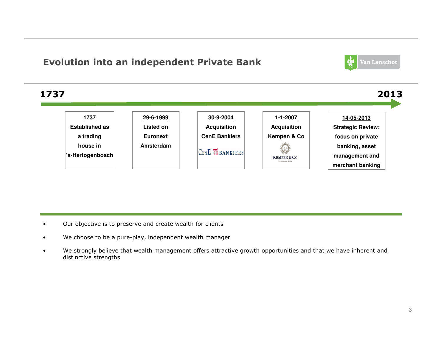### Evolution into an independent Private Bank





- •Our objective is to preserve and create wealth for clients
- •We choose to be a pure-play, independent wealth manager
- • We strongly believe that wealth management offers attractive growth opportunities and that we have inherent and distinctive strengths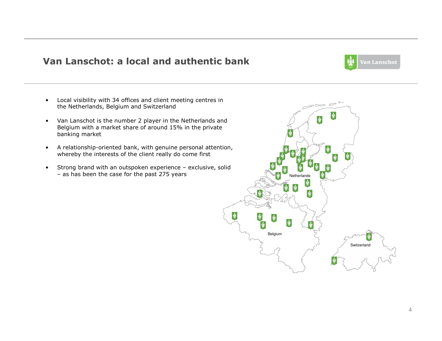#### Van Lanschot: a local and authentic bank



- • Local visibility with 34 offices and client meeting centres in the Netherlands, Belgium and Switzerland
- Van Lanschot is the number 2 player in the Netherlands and Van Lanschot is the number 2 player in the Netherlands and Belgium with a market share of around 15% in the private banking market
- A relationship-oriented bank, with genuine personal attention, whereby the interests of the client really do come first
- • Strong brand with an outspoken experience – exclusive, solid – as has been the case for the past 275 years

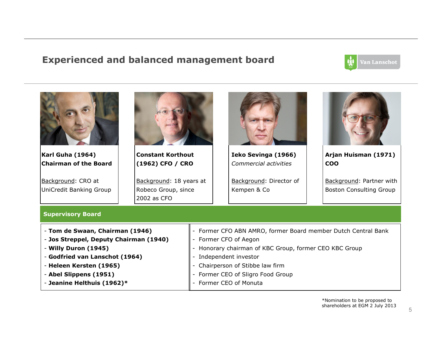#### Experienced and balanced management board



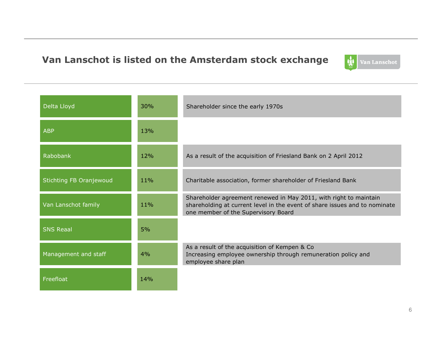### Van Lanschot is listed on the Amsterdam stock exchange



| Delta Lloyd             | 30% | Shareholder since the early 1970s                                                                                                                                                      |
|-------------------------|-----|----------------------------------------------------------------------------------------------------------------------------------------------------------------------------------------|
| <b>ABP</b>              | 13% |                                                                                                                                                                                        |
| Rabobank                | 12% | As a result of the acquisition of Friesland Bank on 2 April 2012                                                                                                                       |
| Stichting FB Oranjewoud | 11% | Charitable association, former shareholder of Friesland Bank                                                                                                                           |
| Van Lanschot family     | 11% | Shareholder agreement renewed in May 2011, with right to maintain<br>shareholding at current level in the event of share issues and to nominate<br>one member of the Supervisory Board |
| <b>SNS Reaal</b>        | 5%  |                                                                                                                                                                                        |
| Management and staff    | 4%  | As a result of the acquisition of Kempen & Co<br>Increasing employee ownership through remuneration policy and<br>employee share plan                                                  |
| Freefloat               | 14% |                                                                                                                                                                                        |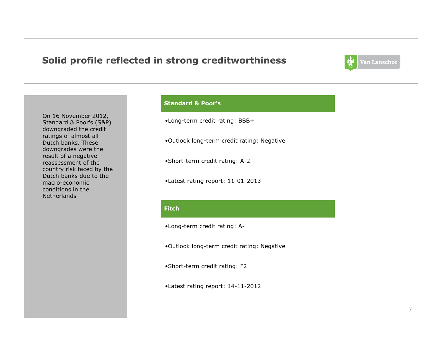### Solid profile reflected in strong creditworthiness



On 16 November 2012, Standard & Poor's (S&P) downgraded the credit ratings of almost all Dutch banks. These downgrades were the result of a negative reassessment of the country risk faced by the Dutch banks due to the macro-economic conditions in the **Netherlands** 

#### Standard & Poor's

•Long-term credit rating: BBB+

•Outlook long-term credit rating: Negative

•Short-term credit rating: A-2

•Latest rating report: 11-01-2013

#### **Fitch**

•Long-term credit rating: A-

•Outlook long-term credit rating: Negative

•Short-term credit rating: F2

•Latest rating report: 14-11-2012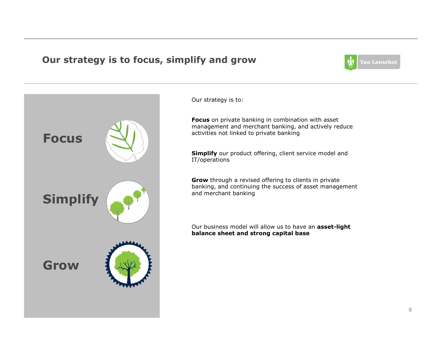### Our strategy is to focus, simplify and grow



Our strategy is to:

**Focus** on private banking in combination with asset management and merchant banking, and actively reduce activities not linked to private banking

Simplify our product offering, client service model and<br>---IT/operations

**Grow** through a revised offering to clients in private<br>banking, and continuing the success of asset manage banking, and continuing the success of asset management and merchant banking

Our business model will allow us to have an asset-light balance sheet and strong capital base

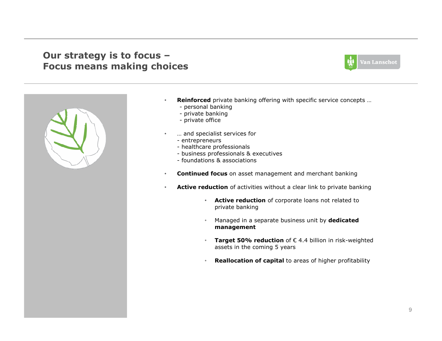### Our strategy is to focus –Focus means making choices





- **Reinforced** private banking offering with specific service concepts ...
	- personal banking<br>- private banking
	- private banking<br>- private office
	- private office

•

•

- … and specialist services for
	- entrepreneurs<br>- bealtbcare prof
	- healthcare professionals<br>- husiness professionals &
	- business professionals & executives<br>- foundations & associations
	- foundations & associations
- •Continued focus on asset management and merchant banking
- •**• Active reduction** of activities without a clear link to private banking
	- **Active reduction** of corporate loans not related to private banking
	- •Managed in a separate business unit by dedicated management
	- **Target 50% reduction** of  $\epsilon$  4.4 billion in risk-weighted assets in the coming 5 years assets in the coming 5 years
	- •Reallocation of capital to areas of higher profitability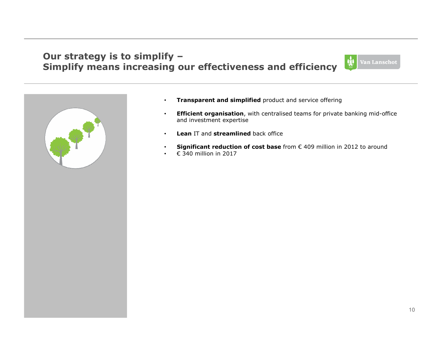### Our strategy is to simplify –Simplify means increasing our effectiveness and efficiency





- •Transparent and simplified product and service offering
- •**Efficient organisation**, with centralised teams for private banking mid-office and investment expertise
- Lean IT and streamlined back office
- Significant reduction of cost base from € 409 million in 2012 to around
- € 340 million in 2017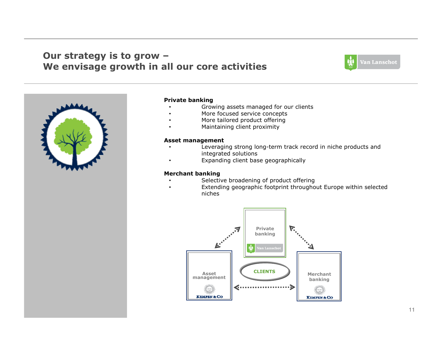### Our strategy is to grow –We envisage growth in all our core activities





#### Private banking

•

- Growing assets managed for our clients•
- •More focused service concepts
- More tailored product offering•
	- Maintaining client proximity

#### Asset management

- Leveraging strong long-term track record in niche products and •integrated solutions
- Expanding client base geographically•

#### Merchant banking

- Selective broadening of product offering•
- Extending geographic footprint throughout Europe within selected•niches

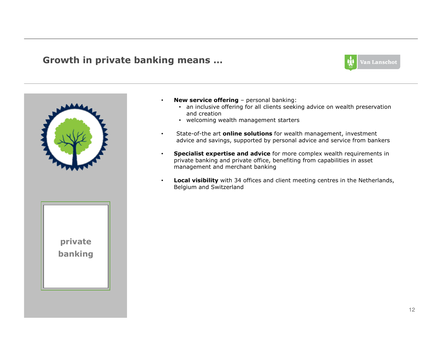#### Growth in private banking means …

•





- **New service offering** personal banking:<br>• an inclusive offering for all clients seekin
	- an inclusive offering for all clients seeking advice on wealth preservation and creation
	- welcoming wealth management starters
- •• State-of-the art **online solutions** for wealth management, investment advice and savings, supported by personal advice and service from bankers
- •**Specialist expertise and advice** for more complex wealth requirements in private banking and private office, benefiting from capabilities in asset management and merchant banking
- •• Local visibility with 34 offices and client meeting centres in the Netherlands, Belgium and Switzerland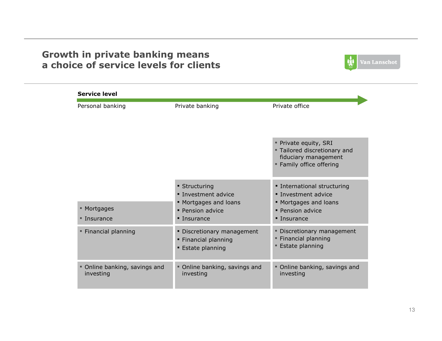### Growth in private banking means a choice of service levels for clients



| Personal banking                           | Private banking                                                                                         | Private office                                                                                                        |
|--------------------------------------------|---------------------------------------------------------------------------------------------------------|-----------------------------------------------------------------------------------------------------------------------|
|                                            |                                                                                                         | Private equity, SRI<br>" Tailored discretionary and<br>fiduciary management<br>• Family office offering               |
| ■ Mortgages<br>■ Insurance                 | • Structuring<br><b>· Investment advice</b><br>• Mortgages and loans<br>• Pension advice<br>• Insurance | • International structuring<br><b>· Investment advice</b><br>• Mortgages and loans<br>• Pension advice<br>• Insurance |
| " Financial planning                       | • Discretionary management<br>• Financial planning<br>• Estate planning                                 | • Discretionary management<br>" Financial planning<br><b>Estate planning</b>                                          |
| • Online banking, savings and<br>investing | • Online banking, savings and<br>investing                                                              | Online banking, savings and<br>investing                                                                              |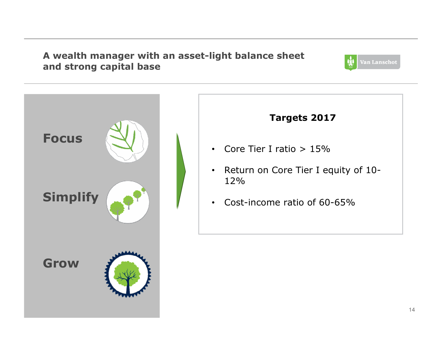### A wealth manager with an asset-light balance sheet and strong capital base



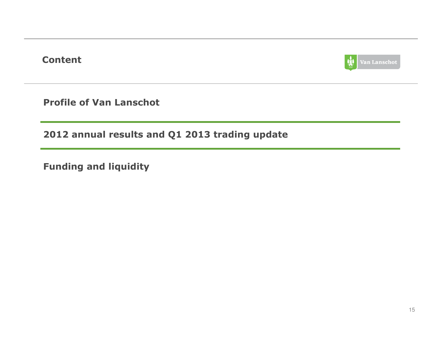Content



Profile of Van Lanschot

2012 annual results and Q1 2013 trading update

Funding and liquidity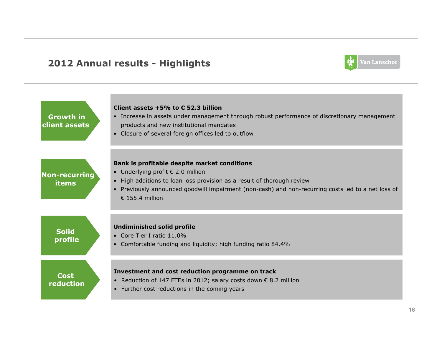### 2012 Annual results - Highlights



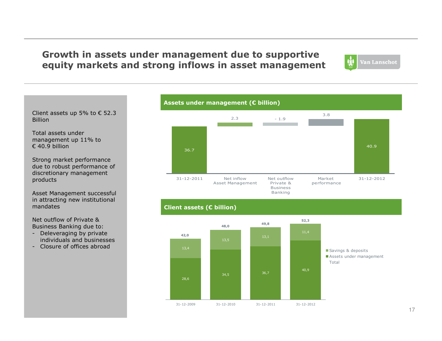### Growth in assets under management due to supportiveequity markets and strong inflows in asset management



Client assets up 5% to  $\epsilon$  52.3 Billion

Total assets under management up 11% to  $€ 40.9$  billion

Strong market performance due to robust performance ofdiscretionary managementproducts

Asset Management successful in attracting new institutionalmandates

Net outflow of Private &Business Banking due to:

- Deleveraging by private<br>individuals and business individuals and businesses
- Closure of offices abroad

#### Assets under management ( $E$  billion)



#### Client assets (€ billion)

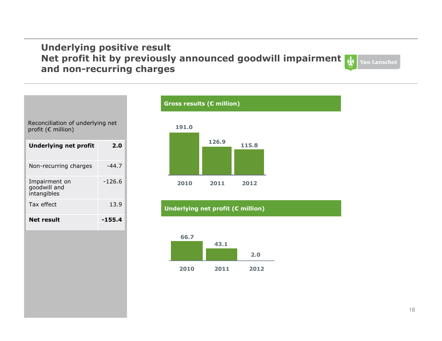#### Underlying positive result Net profit hit by previously announced goodwill impairment Van Lanschot and non-recurring charges



#### Gross results (€ million)





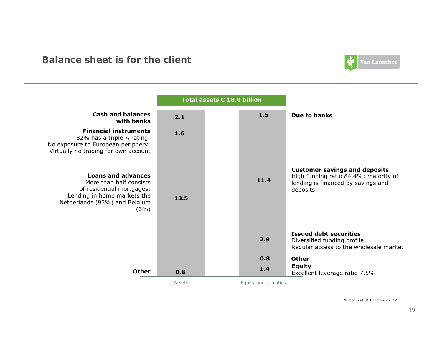#### Balance sheet is for the client





Numbers at 31 December 2012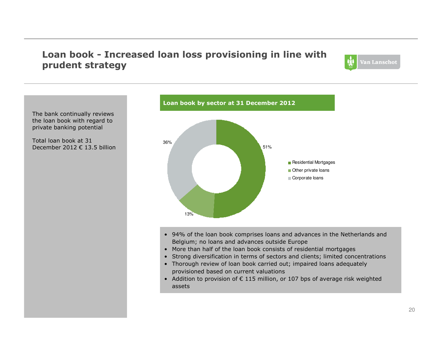### Loan book - Increased loan loss provisioning in line with prudent strategy



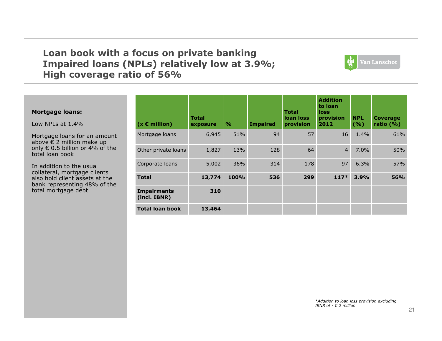### Loan book with a focus on private banking Impaired loans (NPLs) relatively low at 3.9%;High coverage ratio of 56%



#### Mortgage loans:

Low NPLs at 1.4%

Mortgage loans for an amount above  $\epsilon$  2 million make up above € 2 million make up<br>only € 0.5 billion or 4% of only € 0.5 billion or 4% of the<br>total loan book total loan book

In addition to the usual collateral, mortgage clients also hold client assets at the bank representing 48% of thetotal mortgage debt

| $(x \in million)$                  | Total<br>exposure | $\frac{6}{6}$ | <b>Impaired</b> | <b>Total</b><br>loan loss<br>provision | <b>Addition</b><br>to loan<br>loss<br>provision<br>2012 | <b>NPL</b><br>(9/6) | <b>Coverage</b><br>ratio $(% )$ |
|------------------------------------|-------------------|---------------|-----------------|----------------------------------------|---------------------------------------------------------|---------------------|---------------------------------|
| Mortgage loans                     | 6,945             | 51%           | 94              | 57                                     | 16                                                      | $1.4\%$             | 61%                             |
| Other private loans                | 1,827             | 13%           | 128             | 64                                     | $\overline{4}$                                          | $7.0\%$             | 50%                             |
| Corporate loans                    | 5,002             | 36%           | 314             | 178                                    | 97                                                      | 6.3%                | 57%                             |
| <b>Total</b>                       | 13,774            | 100%          | 536             | 299                                    | $117*$                                                  | 3.9%                | <b>56%</b>                      |
| <b>Impairments</b><br>(incl. IBNR) | 310               |               |                 |                                        |                                                         |                     |                                 |
| <b>Total loan book</b>             | 13,464            |               |                 |                                        |                                                         |                     |                                 |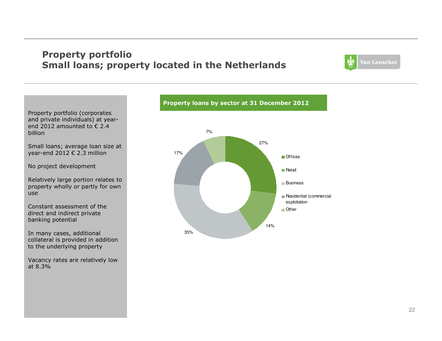### Property portfolioSmall loans; property located in the Netherlands



Property portfolio (corporates and private individuals) at yearend 2012 amounted to  $\epsilon$  2.4 billion

Small loans; average loan size at year-end 2012 € 2.3 million

No project development

Relatively large portion relates to property wholly or partly for own use

Constant assessment of the direct and indirect private banking potential

In many cases, additional collateral is provided in addition to the underlying property

Vacancy rates are relatively low at 8.3%



Property loans by sector at 31 December 2012

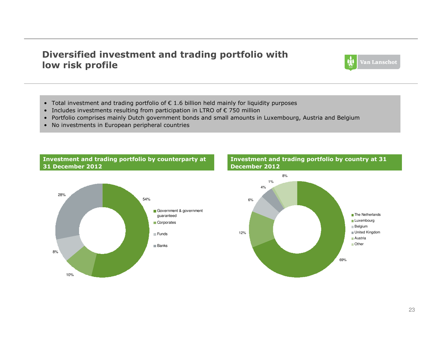### Diversified investment and trading portfolio with low risk profile



- Total investment and trading portfolio of € 1.6 billion held mainly for liquidity purposes<br>• Includes investments resulting from participation in LTPO of 6.750 million
- Includes investments resulting from participation in LTRO of € 750 million
- Portfolio comprises mainly Dutch government bonds and small amounts in Luxembourg, Austria and Belgiu m
- No investments in European peripheral countries

#### Investment and trading portfolio by counterparty at31 December 2012





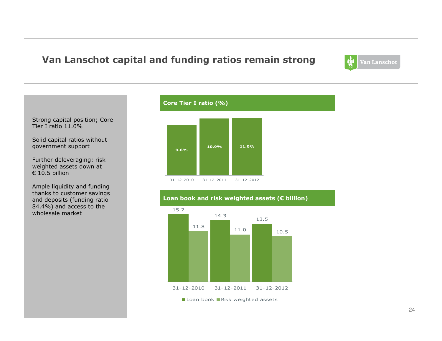### Van Lanschot capital and funding ratios remain strong

Van Lanschot

Strong capital position; CoreTier I ratio 11.0%

Solid capital ratios withoutgovernment support

Further deleveraging: risk weighted assets down at € 10.5 billion

Ample liquidity and funding thanks to customer savings and deposits (funding ratio 84.4%) and access to thewholesale market

## Core Tier I ratio (%)





Loan book and risk weighted assets  $(\epsilon$  billion)

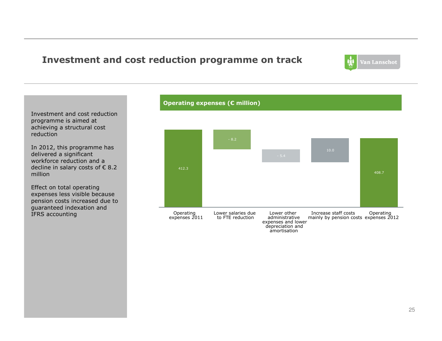### Investment and cost reduction programme on track



Investment and cost reductionprogramme is aimed at achieving a structural costreduction

In 2012, this programme hasdelivered a significant workforce reduction and adecline in salary costs of € 8.2<br>million million

Effect on total operating expenses less visible because pension costs increased due toguaranteed indexation andIFRS accounting

#### Operating expenses (€ million)



amortisation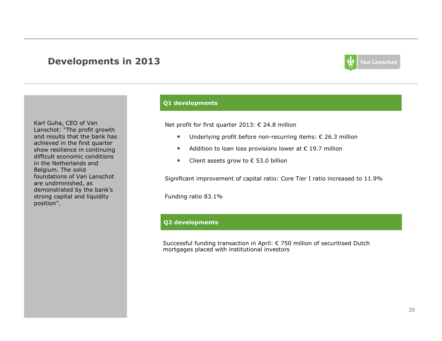#### Developments in 2013



Karl Guha, CEO of Van Lanschot: "The profit growth and results that the bank has achieved in the first quarter show resilience in continuing difficult economic conditions in the Netherlands and Belgium. The solid foundations of Van Lanschot are undiminished, as demonstrated by the bank's strong capital and liquidity position".

#### Q1 developments

Net profit for first quarter 2013: € 24.8 million

- $\bullet$ Underlying profit before non-recurring items: € 26.3 million
- $\bullet$ Addition to loan loss provisions lower at  $\epsilon$  19.7 million
- $\bullet$ Client assets grow to  $\epsilon$  53.0 billion

Significant improvement of capital ratio: Core Tier I ratio increased to 11.9%

Funding ratio 83.1%

#### Q2 developments

Successful funding transaction in April: € 750 million of securitised Dutch mortgages placed with institutional investors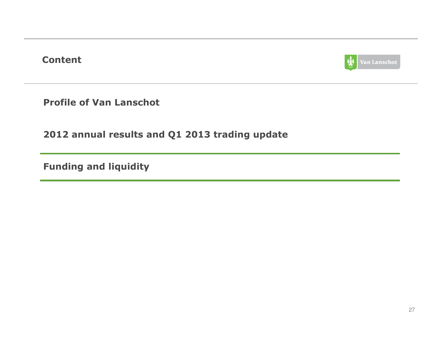Content



Profile of Van Lanschot

2012 annual results and Q1 2013 trading update

Funding and liquidity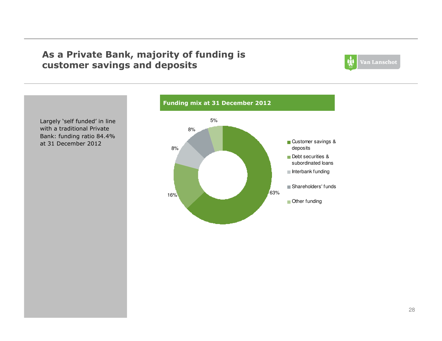### As a Private Bank, majority of funding is customer savings and deposits



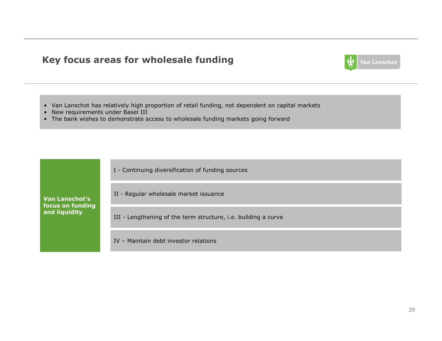### Key focus areas for wholesale funding



- Van Lanschot has relatively high proportion of retail funding, not dependent on capital markets
- New requirements under Basel III
- The bank wishes to demonstrate access to wholesale funding markets going forward

| I - Continuing diversification of funding sources |  |  |
|---------------------------------------------------|--|--|
|                                                   |  |  |

Van Lanschot's focus on funding and liquidity

II - Regular wholesale market issuance

III - Lengthening of the term structure, i.e. building a curve

IV – Maintain debt investor relations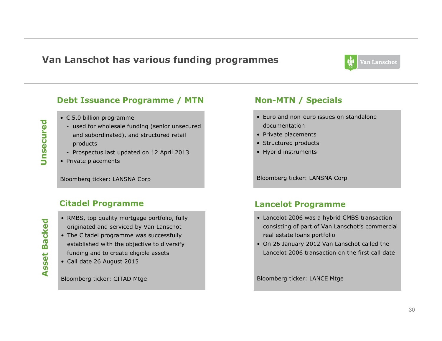### Van Lanschot has various funding programmes



#### Debt Issuance Programme / MTN

- € 5.0 billion programme
- used for wholesale funding (senior unsecured and subordinated), and structured retail products
- Prospectus last updated on 12 April 2013
- Private placements

Bloomberg ticker: LANSNA Corp

#### Citadel Programme

**Backed** Asset Backed Asset

Unsecured

Unsecured

- RMBS, top quality mortgage portfolio, fully originated and serviced by Van Lanschot
- The Citadel programme was successfully established with the objective to diversify funding and to create eligible assets
- Call date 26 August 2015

Bloomberg ticker: CITAD Mtge

#### Non-MTN / Specials

- Euro and non-euro issues on standalone documentation
- Private placements
- Structured products
- Hybrid instruments

Bloomberg ticker: LANSNA Corp

#### Lancelot Programme

- Lancelot 2006 was a hybrid CMBS transaction consisting of part of Van Lanschot's commercial real estate loans portfolio
- On 26 January 2012 Van Lanschot called the Lancelot 2006 transaction on the first call date

Bloomberg ticker: LANCE Mtge

0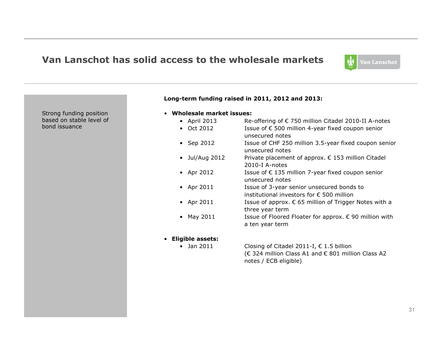#### Van Lanschot has solid access to the wholesale markets



Strong funding position based on stable level of bond issuance

#### Long-term funding raised in 2011, 2012 and 2013:

- Wholesale market issues:
	- April 2013 Re-offering of € 750 million Citadel 2010-II A-notes
	- Oct 2012 Issue of  $€ 500$  million 4-year fixed coupon senior unsecured notes
	- Sep 2012 Issue of CHF 250 million 3.5-year fixed coupon senior • Sep 2012 unsecured notes
	- Jul/Aug 2012 Private placement of approx. € 153 million Citadel  $2010 + 10 = 2010$ • Jul/Aug 2012 2010-I A-notes
	- Apr 2012 Issue of € 135 million 7-year fixed coupon senior<br>UPSOCUTED potes • Apr 2012 unsecured notes
	- Apr 2011 Issue of 3-year senior unsecured bonds to<br>institutional investors for 6,500 million • Apr 2011 institutional investors for € <sup>500</sup> million
	- Apr 2011 Issue of approx.  $€$  65 million of Trigger Notes with a three year term
	- May 2011 Issue of Floored Floater for approx.  $\epsilon$  90 million with  $\epsilon$ • May 2011 a ten year term
- Eligible assets:
	- Jan 2011
- Closing of Citadel 2011-I,  $\epsilon$  1.5 billion (€ 324 million Class A1 and € 801 million Class A2 notes / ECB eligible)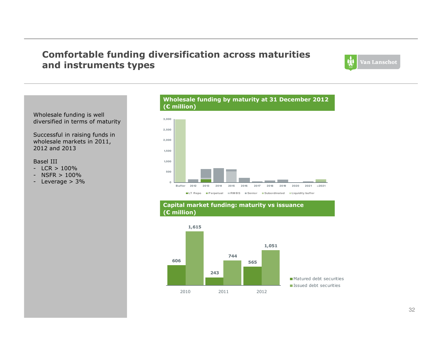### Comfortable funding diversification across maturitiesand instruments types



Wholesale funding is welldiversified in terms of maturity

Successful in raising funds in wholesale markets in 2011,2012 and 2013

#### Basel III

- ICR · - LCR > 100%<br>- NSFR > 100<sup>。</sup>
- 
- NSFR > 100% Leverage > 3%



#### Capital market funding: maturity vs issuance (€ million)

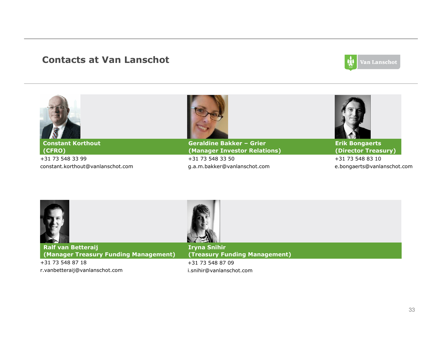### Contacts at Van Lanschot



| <b>Constant Korthout</b>          | <b>Geraldine Bakker - Grier</b> | <b>Erik Bongaerts</b>       |
|-----------------------------------|---------------------------------|-----------------------------|
| (CFRO)                            | (Manager Investor Relations)    | (Director Treasury)         |
| +31 73 548 33 99                  | +31 73 548 33 50                | +31 73 548 83 10            |
| constant.korthout@vanlanschot.com | g.a.m.bakker@vanlanschot.com    | e.bongaerts@vanlanschot.com |